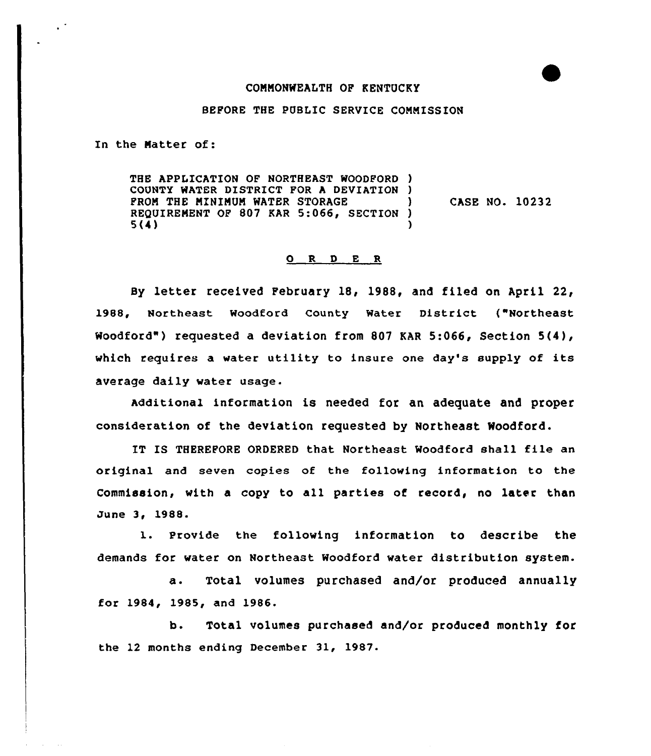## CONNONWEALTH OP KENTUCKY

## BEFORE THE PUBLIC SERVICE CONNISSION

In the Natter of:

THE APPLICATION OF NORTHEAST WOODFORD ) COUNTY HATER DISTRICT FOR <sup>A</sup> DEVIATION ) PROM THE MINIMUM WATER STORAGE REQUIREMENT OF 807 KAR 5:066, SECTION )<br>5(4)  $5(4)$  ) CASE NO. 10232

## 0 R <sup>D</sup> E <sup>R</sup>

By letter received February 18, 1988, and filed on April 22, 1988, Northeast woodford county water District ("Northeast Woodford") requested a deviation from 807 KAR 5:066, Section 5(4), which requires a water uti1ity to insure one day's supply of its average daily water usage.

Additional information is needed for an adequate and proper consideration of the deviation requested by Northeast Woodford.

IT IS THEREFORE ORDERED that Northeast Woodford shall file an original and seven copies of the fallowing information to the Commission, with a copy to all parties of record, no later than June 3, 1988.

1. Provide the following information to describe the demands for water on Northeast Woodford water distribution system.

a. Total volumes purchased and/or produced annually for 1984, 1985, and 1986.

h. Total volumes purchased and/or produced monthly for the 12 months ending December 31, 1987.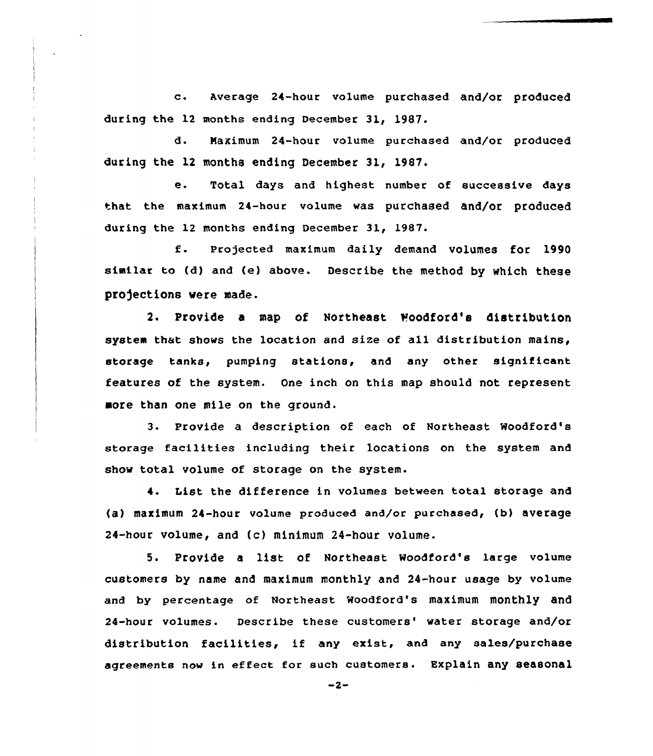c. Average 24-hour volume purchased and/or produced during the 12 months ending December 31, 1987.

d. Naximum 24-hour vo1ume purchased and/or produced during the 12 months ending December 31, 19S7.

e. Total days and highest number of successive days that the maximum 24-hour volume was purchased and/or produced during the 12 months ending December 31, 1987.

f. Pro)ected maximum daily demand volumes for <sup>1990</sup> similar to (d) and (e} above. Describe the method by which these projections were made.

2. Provide a map of Northeast Moodford's distribution system that shows the location and size of all distribution mains, storage tanks, pumping stations, and any other significant features of the system. One inch on this map should not represent more than one mile on the ground.

3 <sup>~</sup> Provide a description of each of Northeast Woodford's storage facilities including their locations on the system and show total volume of storage on the system.

4. List the difference in volumes between total storage and (a) maximum 24-hour volume produced and/or purchased, (b) average 24-hour volume, and (c) minimum 24-hour volume.

5. Provide a list of Northeast Woodford's large volume customers by name and maximum monthly and 24-hour usage by volume and by percentage of Northeast woodford's maximum monthly and 24-hour volumes. Describe these customers' water storage and/or distribution facilities, if any exist, and any sales/purchase agreements now in effect for such customers. Explain any seasonal

 $-2-$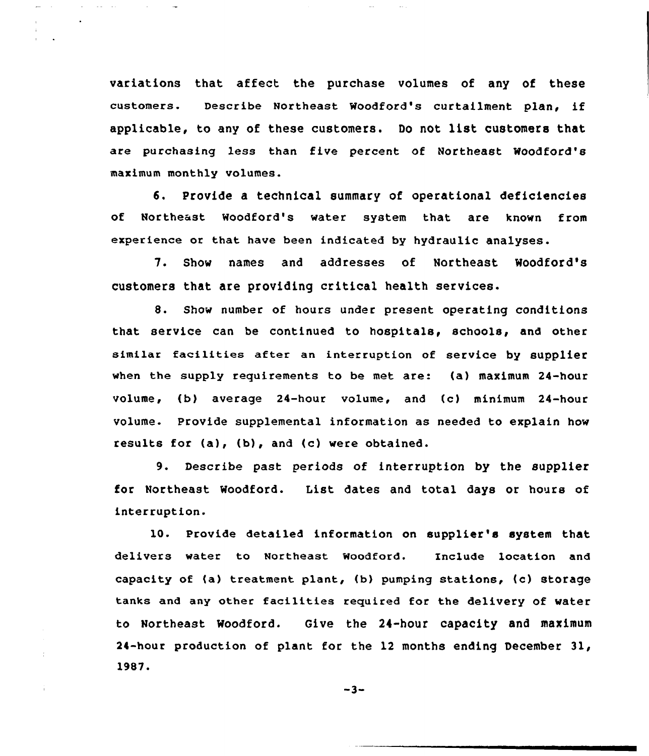variations that affect the purchase volumes of any of these customers. Describe Northeast Woodford's curtailment plan, if applicable, to any of these customers. Do not list customers that are purchasing less than five percent of Northeast Moodford's maximum monthly volumes.

 $\sim 100$ 

and the state of

6. Provide a technical summary of operational deficiencies of Northeast Woodford's water system that are known from experience or that have been indicated by hydraulic analyses.

7. Show names and addresses of Northeast Moodford's customers that are providing critical health services.

8. Show number of hours under present operating conditions that service can be continued to hospitals, schools, and other similar facilities after an interruption of service by supplier when the supply requirements to be met are: {a) maximum 24-hour volume, (b) average 24-hour volume, and (c) minimum 24-hour volume. Provide supplemental information as needed to explain how results for {a), (b), and (c) were obtained.

9. Describe past periods of interruption by the supplier for Northeast Noodford. List dates and total days or hours of interruption.

10. Provide detailed information on supplier's system that delivers water to Northeast Woodford. Include location and capacity of  $(a)$  treatment plant,  $(b)$  pumping stations,  $(c)$  storage tanks and any other facilities required for the delivery of water to Northeast Woodford. Give the 24-hour capacity and maximum 24-hour production of plant for the 12 months ending December 31, 1987.

 $-3-$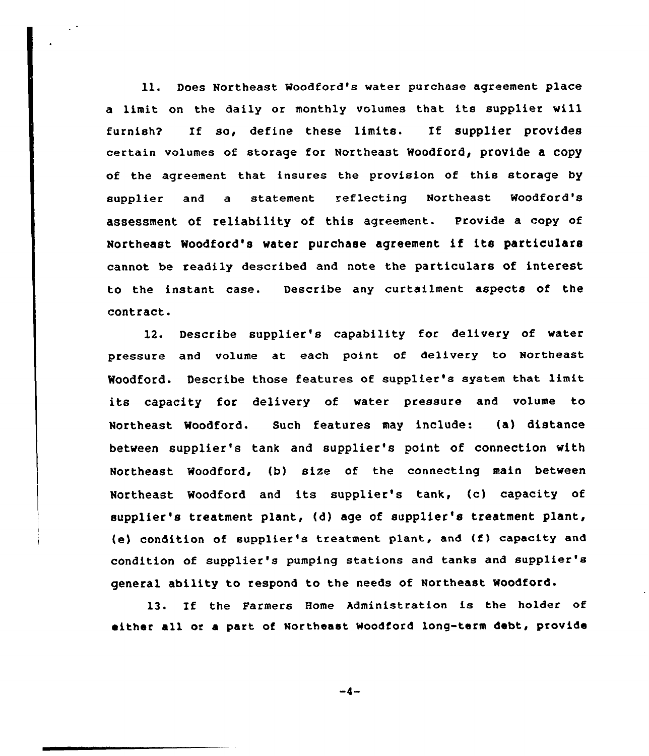ll. Does Northeast Moodford's water purchase agreement place <sup>a</sup> limit on the daily or monthly volumes that its supplier will furnish2 If so, define these limits. If supplier provides certain volumes of storage for Northeast Woodford, provide a copy of the agreement that insures the provision of this storage by supplier and a statement reflecting Northeast Woodford's assessment of reliability of this agreement. Provide a copy of Northeast Woodford's water purchase agreement if its particulars cannot be readily described and note the particulars of interest to the instant case. Describe any curtailment aspects of the contract.

12. Describe supplier's capability for delivery of water pressure and volume at each point of delivery to Northeast Woodford. Describe those features of supplier's system that limit its capacity for delivery of water pressure and volume to Northeast Woodford. Such features may include: (a) distance between supplier's tank and supplier's point of connection with Northeast Woodford, (b) size of the connecting main between Northeast Woodford and its supplier's tank, (c) capacity of supplier's treatment plant, (d) age of supplier's treatment plant, (e) condition of supplier's treatment plant, and (f) capacity and condition of supplier's pumping stations and tanks and supplier's general ability to respond to the needs of Northeast Woodford.

13. If the Parmers Home Administration is the holder of either all or a part of Northeast Woodford long-term debt, provide

 $-4-$